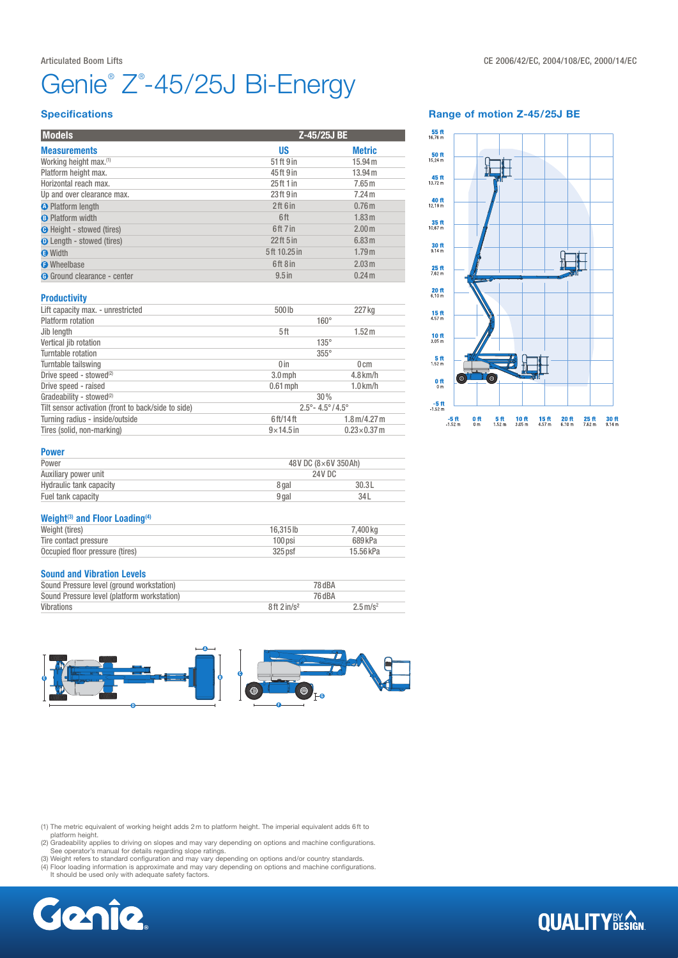# Genie® Z®-45/25J Bi-Energy

#### Articulated Boom Lifts **CE 2006/42/EC, 2004/108/EC, 2000/14/EC**

#### **Specifications**

| <b>Models</b>                      |              | Z-45/25J BE       |  |
|------------------------------------|--------------|-------------------|--|
| <b>Measurements</b>                | <b>US</b>    | <b>Metric</b>     |  |
| Working height max. <sup>(1)</sup> | 51 ft 9 in   | 15.94 m           |  |
| Platform height max.               | 45ft 9 in    | 13.94 m           |  |
| Horizontal reach max.              | 25 ft 1 in   | 7.65 <sub>m</sub> |  |
| Up and over clearance max.         | 23 ft 9 in   | 7.24 m            |  |
| <b>O</b> Platform length           | 2ft 6in      | 0.76 <sub>m</sub> |  |
| <b>B</b> Platform width            | 6ft          | 1.83 m            |  |
| <b>O</b> Height - stowed (tires)   | 6ft 7 in     | 2.00 <sub>m</sub> |  |
| <b>O</b> Length - stowed (tires)   | $22$ ft 5 in | 6.83 m            |  |
| <b>O</b> Width                     | 5ft 10.25 in | 1.79m             |  |
| <b>O</b> Wheelbase                 | 6ft 8 in     | 2.03 m            |  |
| <b>G</b> Ground clearance - center | $9.5$ in     | 0.24 m            |  |

#### Range of motion Z-45/25J BE



# **Productivity**

| Lift capacity max. - unrestricted                   | 500lb                                   | 227 kg                               |  |  |
|-----------------------------------------------------|-----------------------------------------|--------------------------------------|--|--|
| Platform rotation                                   |                                         | $160^\circ$                          |  |  |
| Jib length                                          | 5ft                                     | 1.52 m                               |  |  |
| Vertical jib rotation                               | $135^\circ$                             |                                      |  |  |
| Turntable rotation                                  | $355^\circ$                             |                                      |  |  |
| Turntable tailswing                                 | 0 <sub>in</sub>                         | $0 \, \mathrm{cm}$                   |  |  |
| Drive speed - stowed <sup>(2)</sup>                 | $3.0$ mph                               | $4.8$ km/h                           |  |  |
| Drive speed - raised                                | $0.61$ mph                              | $1.0$ km/h                           |  |  |
| Gradeability - stowed <sup>(2)</sup>                | 30%                                     |                                      |  |  |
| Tilt sensor activation (front to back/side to side) | $2.5^{\circ} - 4.5^{\circ}/4.5^{\circ}$ |                                      |  |  |
| Turning radius - inside/outside                     | 6ft/14ft                                | $1.8 \,\mathrm{m}/4.27 \,\mathrm{m}$ |  |  |
| Tires (solid, non-marking)                          | $9\times$ 14.5 in                       | $0.23\times0.37$ m                   |  |  |

## Power

| Power                   | 48V DC (8×6V 350Ah) |       |
|-------------------------|---------------------|-------|
| Auxiliary power unit    | 24V DC              |       |
| Hydraulic tank capacity | 8 gal               | 30.3L |
| Fuel tank capacity      | 9 gal               | 34L   |
|                         |                     |       |

#### Weight<sup>(3)</sup> and Floor Loading<sup>(4)</sup>

| Weight (tires)                  | 16.315lb  | 7.400 ka  |
|---------------------------------|-----------|-----------|
| Tire contact pressure           | $100$ psi | 689 kPa   |
| Occupied floor pressure (tires) | $325$ psf | 15.56 kPa |

#### Sound and Vibration Levels

| Sound Pressure level (ground workstation)   | 78 dBA                    |                        |
|---------------------------------------------|---------------------------|------------------------|
| Sound Pressure level (platform workstation) | 76 dBA                    |                        |
| Vibrations                                  | $8ft$ 2 in/s <sup>2</sup> | $2.5 \,\mathrm{m/s^2}$ |



(1) The metric equivalent of working height adds 2m to platform height. The imperial equivalent adds 6ft to

platform height.<br>(2) Gradeability applies to driving on slopes and may vary depending on options and machine configurations.<br>See operator's manual for details regarding slope ratings.<br>(3) Weight refers to standard configur

(4) Floor loading information is approximate and may vary depending on options and machine configurations. It should be used only with adequate safety factors.



# **QUALITY**BY AGN